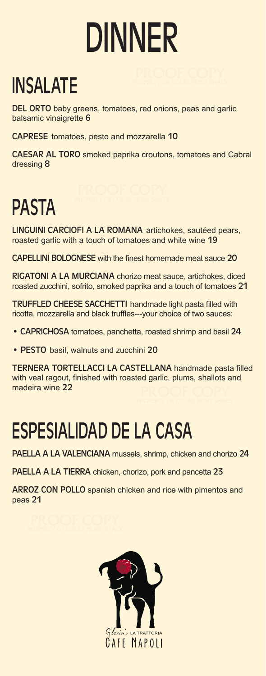# DINNER

## INSALATE

DEL ORTO baby greens, tomatoes, red onions, peas and garlic balsamic vinaigrette 6

CAPRESE tomatoes, pesto and mozzarella 10

CAESAR AL TORO smoked paprika croutons, tomatoes and Cabral dressing 8

#### PASTA

LINGUINI CARCIOFI A LA ROMANA artichokes, sautéed pears, roasted garlic with a touch of tomatoes and white wine 19

CAPELLINI BOLOGNESE with the finest homemade meat sauce 20

RIGATONI A LA MURCIANA chorizo meat sauce, artichokes, diced roasted zucchini, sofrito, smoked paprika and a touch of tomatoes 21

TRUFFLED CHEESE SACCHETTI handmade light pasta filled with ricotta, mozzarella and black truffles---your choice of two sauces:

- CAPRICHOSA tomatoes, panchetta, roasted shrimp and basil 24
- PESTO basil, walnuts and zucchini 20

TERNERA TORTELLACCI LA CASTELLANA handmade pasta filled with veal ragout, finished with roasted garlic, plums, shallots and madeira wine 22

#### ESPESIALIDAD DE LA CASA

PAELLA A LA VALENCIANA mussels, shrimp, chicken and chorizo 24

PAELLA A LA TIERRA chicken, chorizo, pork and pancetta 23

ARROZ CON POLLO spanish chicken and rice with pimentos and peas 21